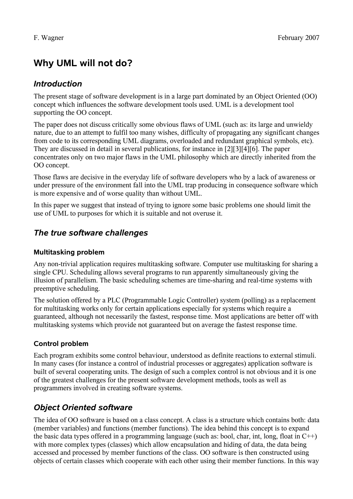# **Why UML will not do?**

## *Introduction*

The present stage of software development is in a large part dominated by an Object Oriented (OO) concept which influences the software development tools used. UML is a development tool supporting the OO concept.

The paper does not discuss critically some obvious flaws of UML (such as: its large and unwieldy nature, due to an attempt to fulfil too many wishes, difficulty of propagating any significant changes from code to its corresponding UML diagrams, overloaded and redundant graphical symbols, etc). They are discussed in detail in several publications, for instance in [2][3][4][6]. The paper concentrates only on two major flaws in the UML philosophy which are directly inherited from the OO concept.

Those flaws are decisive in the everyday life of software developers who by a lack of awareness or under pressure of the environment fall into the UML trap producing in consequence software which is more expensive and of worse quality than without UML.

In this paper we suggest that instead of trying to ignore some basic problems one should limit the use of UML to purposes for which it is suitable and not overuse it.

## *The true software challenges*

#### **Multitasking problem**

Any non-trivial application requires multitasking software. Computer use multitasking for sharing a single CPU. Scheduling allows several programs to run apparently simultaneously giving the illusion of parallelism. The basic scheduling schemes are time-sharing and real-time systems with preemptive scheduling.

The solution offered by a PLC (Programmable Logic Controller) system (polling) as a replacement for multitasking works only for certain applications especially for systems which require a guaranteed, although not necessarily the fastest, response time. Most applications are better off with multitasking systems which provide not guaranteed but on average the fastest response time.

#### **Control problem**

Each program exhibits some control behaviour, understood as definite reactions to external stimuli. In many cases (for instance a control of industrial processes or aggregates) application software is built of several cooperating units. The design of such a complex control is not obvious and it is one of the greatest challenges for the present software development methods, tools as well as programmers involved in creating software systems.

## *Object Oriented software*

The idea of OO software is based on a class concept. A class is a structure which contains both: data (member variables) and functions (member functions). The idea behind this concept is to expand the basic data types offered in a programming language (such as: bool, char, int, long, float in C++) with more complex types (classes) which allow encapsulation and hiding of data, the data being accessed and processed by member functions of the class. OO software is then constructed using objects of certain classes which cooperate with each other using their member functions. In this way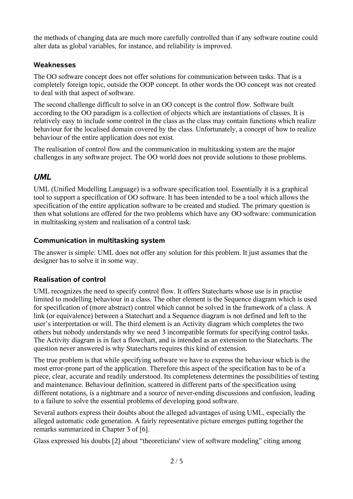the methods of changing data are much more carefully controlled than if any software routine could alter data as global variables, for instance, and reliability is improved.

#### **Weaknesses**

The OO software concept does not offer solutions for communication between tasks. That is a completely foreign topic, outside the OOP concept. In other words the OO concept was not created to deal with that aspect of software.

The second challenge difficult to solve in an OO concept is the control flow. Software built according to the OO paradigm is a collection of objects which are instantiations of classes. It is relatively easy to include some control in the class as the class may contain functions which realize behaviour for the localised domain covered by the class. Unfortunately, a concept of how to realize behaviour of the entire application does not exist.

The realisation of control flow and the communication in multitasking system are the major challenges in any software project. The OO world does not provide solutions to those problems.

## *UML*

UML (Unified Modelling Language) is a software specification tool. Essentially it is a graphical tool to support a specification of OO software. It has been intended to be a tool which allows the specification of the entire application software to be created and studied. The primary question is then what solutions are offered for the two problems which have any OO software: communication in multitasking system and realisation of a control task.

#### **Communication in multitasking system**

The answer is simple: UML does not offer any solution for this problem. It just assumes that the designer has to solve it in some way.

#### **Realisation of control**

UML recognizes the need to specify control flow. It offers Statecharts whose use is in practise limited to modelling behaviour in a class. The other element is the Sequence diagram which is used for specification of (more abstract) control which cannot be solved in the framework of a class. A link (or equivalence) between a Statechart and a Sequence diagram is not defined and left to the user's interpretation or will. The third element is an Activity diagram which completes the two others but nobody understands why we need 3 incompatible formats for specifying control tasks. The Activity diagram is in fact a flowchart, and is intended as an extension to the Statecharts. The question never answered is why Statecharts requires this kind of extension.

The true problem is that while specifying software we have to express the behaviour which is the most error-prone part of the application. Therefore this aspect of the specification has to be of a piece, clear, accurate and readily understood. Its completeness determines the possibilities of testing and maintenance. Behaviour definition, scattered in different parts of the specification using different notations, is a nightmare and a source of never-ending discussions and confusion, leading to a failure to solve the essential problems of developing good software.

Several authors express their doubts about the alleged advantages of using UML, especially the alleged automatic code generation. A fairly representative picture emerges putting together the remarks summarized in Chapter 3 of [6].

Glass expressed his doubts [2] about "theoreticians' view of software modeling" citing among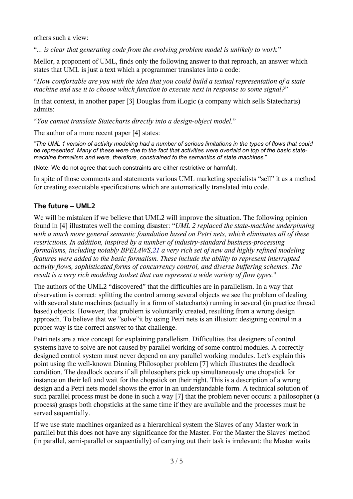others such a view:

"*... is clear that generating code from the evolving problem model is unlikely to work.*"

Mellor, a proponent of UML, finds only the following answer to that reproach, an answer which states that UML is just a text which a programmer translates into a code:

"*How comfortable are you with the idea that you could build a textual representation of a state machine and use it to choose which function to execute next in response to some signal?*"

In that context, in another paper [3] Douglas from iLogic (a company which sells Statecharts) admits:

"*You cannot translate Statecharts directly into a design-object model.*"

The author of a more recent paper [4] states:

"*The UML 1 version of activity modeling had a number of serious limitations in the types of flows that could* be represented. Many of these were due to the fact that activities were overlaid on top of the basic state*machine formalism and were, therefore, constrained to the semantics of state machines*."

(Note: We do not agree that such constraints are either restrictive or harmful).

In spite of those comments and statements various UML marketing specialists "sell" it as a method for creating executable specifications which are automatically translated into code.

#### **The future – UML2**

We will be mistaken if we believe that UML2 will improve the situation. The following opinion found in [4] illustrates well the coming disaster: "*UML 2 replaced the state-machine underpinning with a much more general semantic foundation based on Petri nets, which eliminates all of these restrictions. In addition, inspired by a number of industry-standard business-processing formalisms, including notably BPEL4WS[,21](http://www.research.ibm.com/journal/sj/453/selicref.html#ref21) a very rich set of new and highly refined modeling features were added to the basic formalism. These include the ability to represent interrupted activity flows, sophisticated forms of concurrency control, and diverse buffering schemes. The result is a very rich modeling toolset that can represent a wide variety of flow types.*"

The authors of the UML2 "discovered" that the difficulties are in parallelism. In a way that observation is correct: splitting the control among several objects we see the problem of dealing with several state machines (actually in a form of statecharts) running in several (in practice thread based) objects. However, that problem is voluntarily created, resulting from a wrong design approach. To believe that we "solve"it by using Petri nets is an illusion: designing control in a proper way is the correct answer to that challenge.

Petri nets are a nice concept for explaining parallelism. Difficulties that designers of control systems have to solve are not caused by parallel working of some control modules. A correctly designed control system must never depend on any parallel working modules. Let's explain this point using the well-known Dinning Philosopher problem [7] which illustrates the deadlock condition. The deadlock occurs if all philosophers pick up simultaneously one chopstick for instance on their left and wait for the chopstick on their right. This is a description of a wrong design and a Petri nets model shows the error in an understandable form. A technical solution of such parallel process must be done in such a way [7] that the problem never occurs: a philosopher (a process) grasps both chopsticks at the same time if they are available and the processes must be served sequentially.

If we use state machines organized as a hierarchical system the Slaves of any Master work in parallel but this does not have any significance for the Master. For the Master the Slaves' method (in parallel, semi-parallel or sequentially) of carrying out their task is irrelevant: the Master waits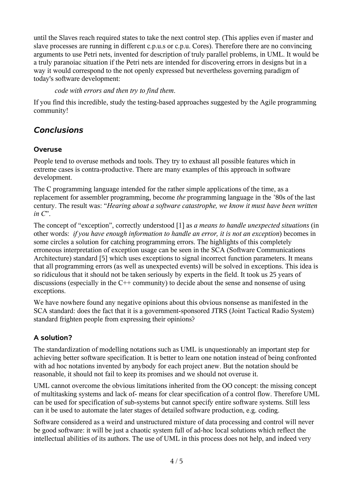until the Slaves reach required states to take the next control step. (This applies even if master and slave processes are running in different c.p.u.s or c.p.u. Cores). Therefore there are no convincing arguments to use Petri nets, invented for description of truly parallel problems, in UML. It would be a truly paranoiac situation if the Petri nets are intended for discovering errors in designs but in a way it would correspond to the not openly expressed but nevertheless governing paradigm of today's software development:

*code with errors and then try to find them*.

If you find this incredible, study the testing-based approaches suggested by the Agile programming community!

## *Conclusions*

#### **Overuse**

People tend to overuse methods and tools. They try to exhaust all possible features which in extreme cases is contra-productive. There are many examples of this approach in software development.

The C programming language intended for the rather simple applications of the time, as a replacement for assembler programming, become *the* programming language in the '80s of the last century. The result was: "*Hearing about a software catastrophe, we know it must have been written in C*".

The concept of "exception", correctly understood [1] as *a means to handle unexpected situations* (in other words: *if you have enough information to handle an error, it is not an exception*) becomes in some circles a solution for catching programming errors. The highlights of this completely erroneous interpretation of exception usage can be seen in the SCA (Software Communications Architecture) standard [5] which uses exceptions to signal incorrect function parameters. It means that all programming errors (as well as unexpected events) will be solved in exceptions. This idea is so ridiculous that it should not be taken seriously by experts in the field. It took us 25 years of discussions (especially in the C++ community) to decide about the sense and nonsense of using exceptions.

We have nowhere found any negative opinions about this obvious nonsense as manifested in the SCA standard: does the fact that it is a government-sponsored JTRS (Joint Tactical Radio System) standard frighten people from expressing their opinions?

#### **A solution?**

The standardization of modelling notations such as UML is unquestionably an important step for achieving better software specification. It is better to learn one notation instead of being confronted with ad hoc notations invented by anybody for each project anew. But the notation should be reasonable, it should not fail to keep its promises and we should not overuse it.

UML cannot overcome the obvious limitations inherited from the OO concept: the missing concept of multitasking systems and lack of- means for clear specification of a control flow. Therefore UML can be used for specification of sub-systems but cannot specify entire software systems. Still less can it be used to automate the later stages of detailed software production, e.g. coding.

Software considered as a weird and unstructured mixture of data processing and control will never be good software: it will be just a chaotic system full of ad-hoc local solutions which reflect the intellectual abilities of its authors. The use of UML in this process does not help, and indeed very